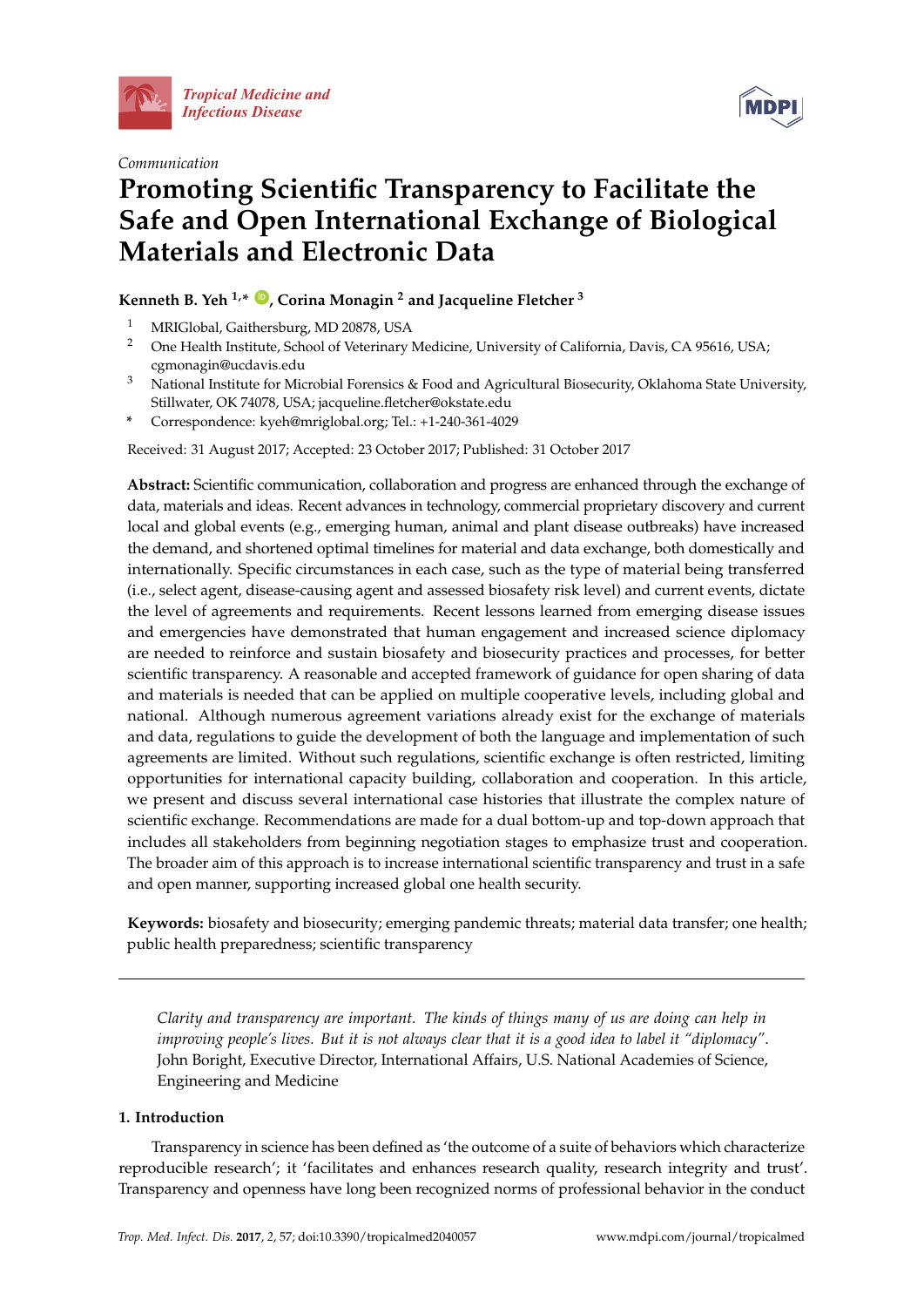





# **Promoting Scientific Transparency to Facilitate the Safe and Open International Exchange of Biological Materials and Electronic Data**

### **Kenneth B. Yeh 1,\* [ID](https://orcid.org/0000-0003-3996-6446) , Corina Monagin <sup>2</sup> and Jacqueline Fletcher <sup>3</sup>**

- <sup>1</sup> MRIGlobal, Gaithersburg, MD 20878, USA
- <sup>2</sup> One Health Institute, School of Veterinary Medicine, University of California, Davis, CA 95616, USA; cgmonagin@ucdavis.edu
- <sup>3</sup> National Institute for Microbial Forensics & Food and Agricultural Biosecurity, Oklahoma State University, Stillwater, OK 74078, USA; jacqueline.fletcher@okstate.edu
- **\*** Correspondence: kyeh@mriglobal.org; Tel.: +1-240-361-4029

Received: 31 August 2017; Accepted: 23 October 2017; Published: 31 October 2017

**Abstract:** Scientific communication, collaboration and progress are enhanced through the exchange of data, materials and ideas. Recent advances in technology, commercial proprietary discovery and current local and global events (e.g., emerging human, animal and plant disease outbreaks) have increased the demand, and shortened optimal timelines for material and data exchange, both domestically and internationally. Specific circumstances in each case, such as the type of material being transferred (i.e., select agent, disease-causing agent and assessed biosafety risk level) and current events, dictate the level of agreements and requirements. Recent lessons learned from emerging disease issues and emergencies have demonstrated that human engagement and increased science diplomacy are needed to reinforce and sustain biosafety and biosecurity practices and processes, for better scientific transparency. A reasonable and accepted framework of guidance for open sharing of data and materials is needed that can be applied on multiple cooperative levels, including global and national. Although numerous agreement variations already exist for the exchange of materials and data, regulations to guide the development of both the language and implementation of such agreements are limited. Without such regulations, scientific exchange is often restricted, limiting opportunities for international capacity building, collaboration and cooperation. In this article, we present and discuss several international case histories that illustrate the complex nature of scientific exchange. Recommendations are made for a dual bottom-up and top-down approach that includes all stakeholders from beginning negotiation stages to emphasize trust and cooperation. The broader aim of this approach is to increase international scientific transparency and trust in a safe and open manner, supporting increased global one health security.

**Keywords:** biosafety and biosecurity; emerging pandemic threats; material data transfer; one health; public health preparedness; scientific transparency

*Clarity and transparency are important. The kinds of things many of us are doing can help in improving people's lives. But it is not always clear that it is a good idea to label it "diplomacy"*. John Boright, Executive Director, International Affairs, U.S. National Academies of Science, Engineering and Medicine

#### **1. Introduction**

Transparency in science has been defined as 'the outcome of a suite of behaviors which characterize reproducible research'; it 'facilitates and enhances research quality, research integrity and trust'. Transparency and openness have long been recognized norms of professional behavior in the conduct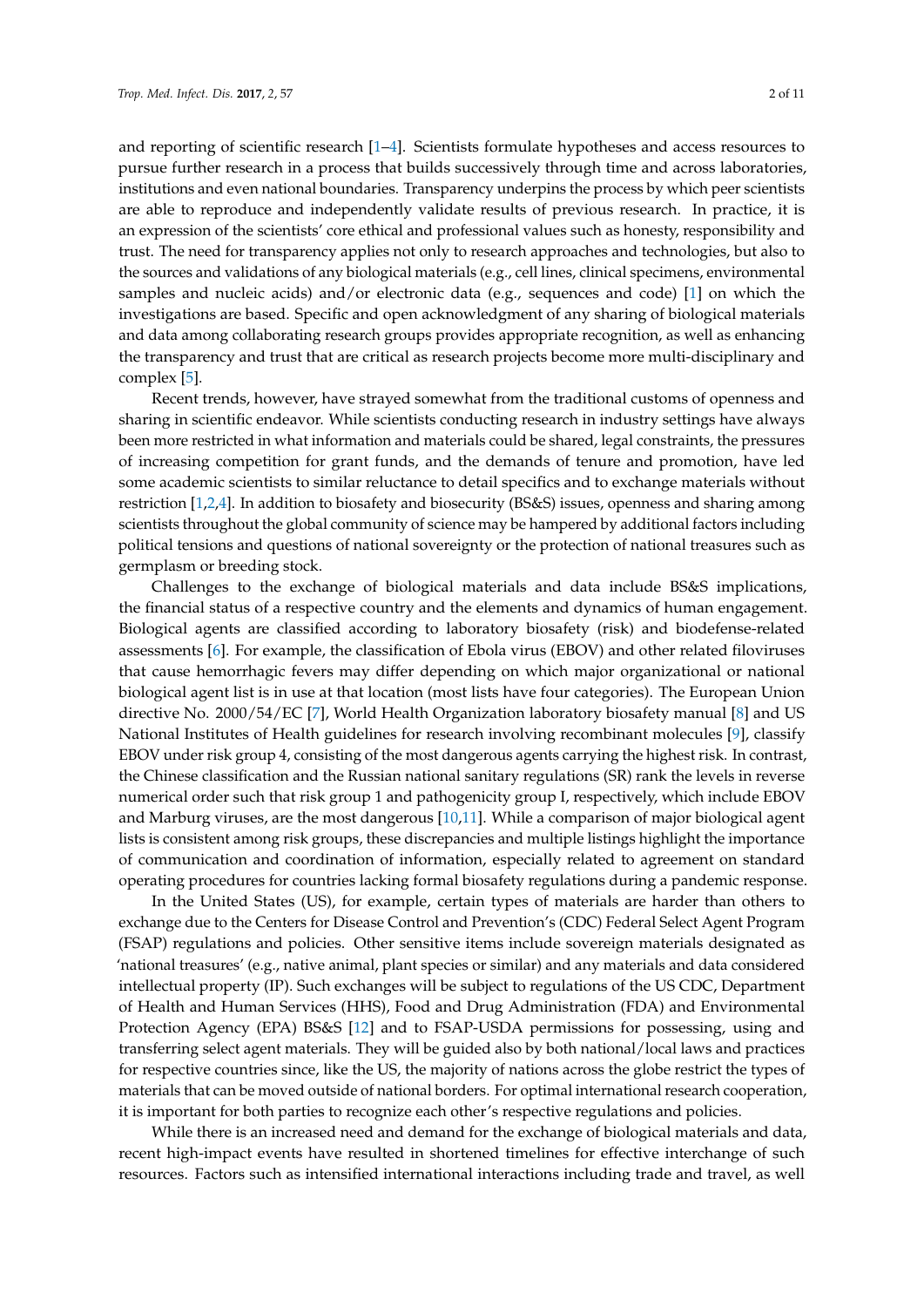and reporting of scientific research [\[1–](#page-8-0)[4\]](#page-9-0). Scientists formulate hypotheses and access resources to pursue further research in a process that builds successively through time and across laboratories, institutions and even national boundaries. Transparency underpins the process by which peer scientists are able to reproduce and independently validate results of previous research. In practice, it is an expression of the scientists' core ethical and professional values such as honesty, responsibility and trust. The need for transparency applies not only to research approaches and technologies, but also to the sources and validations of any biological materials (e.g., cell lines, clinical specimens, environmental samples and nucleic acids) and/or electronic data (e.g., sequences and code) [\[1\]](#page-8-0) on which the investigations are based. Specific and open acknowledgment of any sharing of biological materials and data among collaborating research groups provides appropriate recognition, as well as enhancing the transparency and trust that are critical as research projects become more multi-disciplinary and complex [\[5\]](#page-9-1).

Recent trends, however, have strayed somewhat from the traditional customs of openness and sharing in scientific endeavor. While scientists conducting research in industry settings have always been more restricted in what information and materials could be shared, legal constraints, the pressures of increasing competition for grant funds, and the demands of tenure and promotion, have led some academic scientists to similar reluctance to detail specifics and to exchange materials without restriction [\[1,](#page-8-0)[2,](#page-8-1)[4\]](#page-9-0). In addition to biosafety and biosecurity (BS&S) issues, openness and sharing among scientists throughout the global community of science may be hampered by additional factors including political tensions and questions of national sovereignty or the protection of national treasures such as germplasm or breeding stock.

Challenges to the exchange of biological materials and data include BS&S implications, the financial status of a respective country and the elements and dynamics of human engagement. Biological agents are classified according to laboratory biosafety (risk) and biodefense-related assessments [\[6\]](#page-9-2). For example, the classification of Ebola virus (EBOV) and other related filoviruses that cause hemorrhagic fevers may differ depending on which major organizational or national biological agent list is in use at that location (most lists have four categories). The European Union directive No. 2000/54/EC [\[7\]](#page-9-3), World Health Organization laboratory biosafety manual [\[8\]](#page-9-4) and US National Institutes of Health guidelines for research involving recombinant molecules [\[9\]](#page-9-5), classify EBOV under risk group 4, consisting of the most dangerous agents carrying the highest risk. In contrast, the Chinese classification and the Russian national sanitary regulations (SR) rank the levels in reverse numerical order such that risk group 1 and pathogenicity group I, respectively, which include EBOV and Marburg viruses, are the most dangerous [\[10](#page-9-6)[,11\]](#page-9-7). While a comparison of major biological agent lists is consistent among risk groups, these discrepancies and multiple listings highlight the importance of communication and coordination of information, especially related to agreement on standard operating procedures for countries lacking formal biosafety regulations during a pandemic response.

In the United States (US), for example, certain types of materials are harder than others to exchange due to the Centers for Disease Control and Prevention's (CDC) Federal Select Agent Program (FSAP) regulations and policies. Other sensitive items include sovereign materials designated as 'national treasures' (e.g., native animal, plant species or similar) and any materials and data considered intellectual property (IP). Such exchanges will be subject to regulations of the US CDC, Department of Health and Human Services (HHS), Food and Drug Administration (FDA) and Environmental Protection Agency (EPA) BS&S [\[12\]](#page-9-8) and to FSAP-USDA permissions for possessing, using and transferring select agent materials. They will be guided also by both national/local laws and practices for respective countries since, like the US, the majority of nations across the globe restrict the types of materials that can be moved outside of national borders. For optimal international research cooperation, it is important for both parties to recognize each other's respective regulations and policies.

While there is an increased need and demand for the exchange of biological materials and data, recent high-impact events have resulted in shortened timelines for effective interchange of such resources. Factors such as intensified international interactions including trade and travel, as well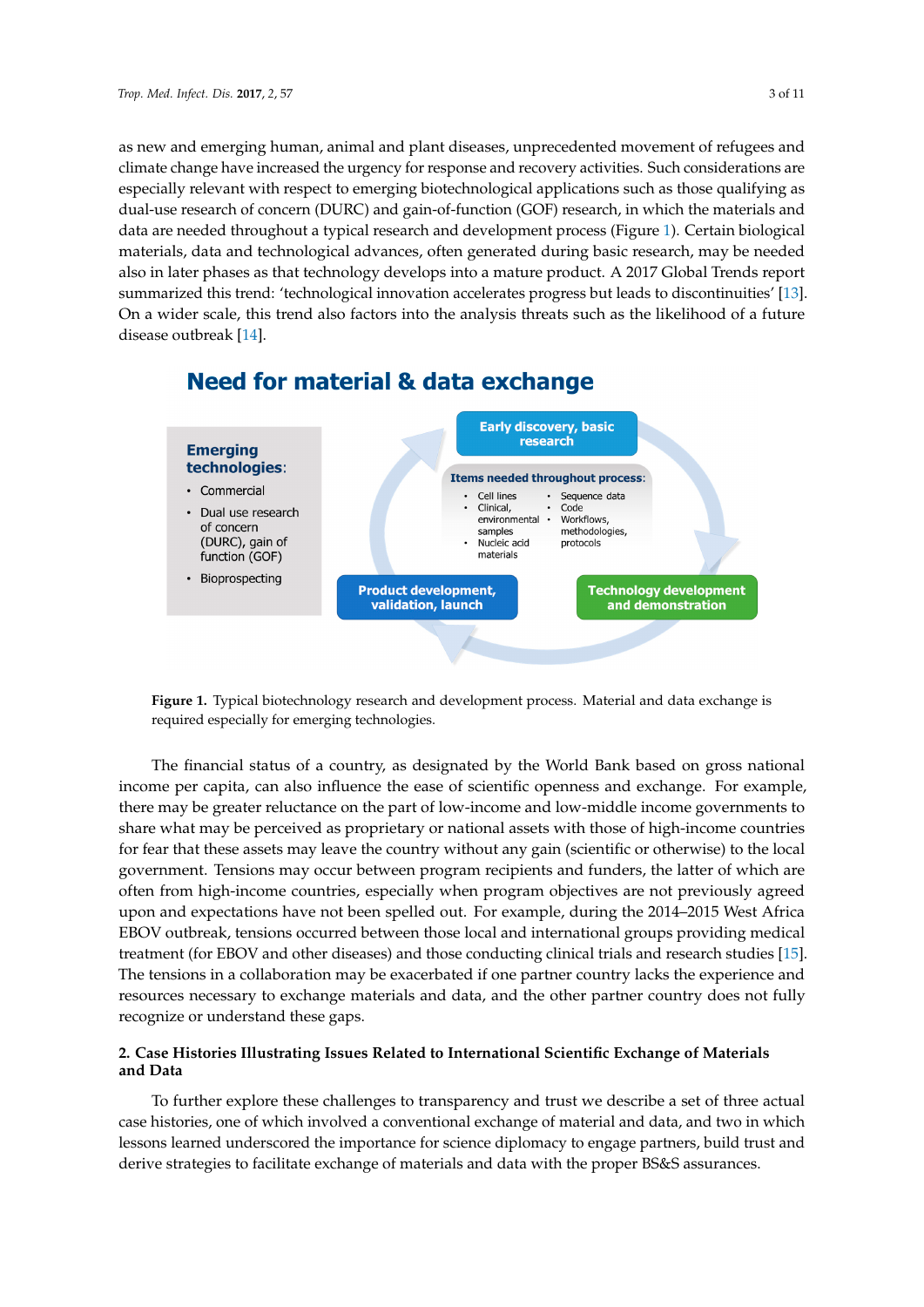as new and emerging human, animal and plant diseases, unprecedented movement of refugees and new and emerging human, animal and plant diseases, unprecedented movement of refugees and climate change have increased the urgency for response and recovery activities. Such considerations are climate change have increased the urgency for response and recovery activities. Such considerations especially relevant with respect to emerging biotechnological applications such as those qualifying as dual-use research of concern (DURC) and gain-of-function (GOF) research, in which the materials and data are needed throughout a typical research and developm[ent](#page-2-0) process (Figure 1). Certain biological materials, data and technological advances, often generated during basic research, may be needed also in later phases as that technology develops into a mature product. A 2017 Global Trends report summarized this trend: 'technological innovation accelerates progress but leads to discontinuities' [\[13\]](#page-9-9). On a wider scale, this trend also factors into the analysis threats such as the likelihood of a future disease outbreak  $[14]$ .

<span id="page-2-0"></span>

# **Need for material & data exchange**

**Figure 1.** Typical biotechnology research and development process. Material and data exchange is **Figure 1.** Typical biotechnology research and development process. Material and data exchange is required especially for emerging technologies. required especially for emerging technologies.

The financial status of a country, as designated by the World Bank based on gross national The financial status of a country, as designated by the World Bank based on gross national income per capita, can also influence the ease of scientific openness and exchange. For example, there may be greater reluctance on the part of low-income and low-middle income governments to share what may be perceived as proprietary or national assets with those of high-income countries for fear that these assets may leave the country without any gain (scientific or otherwise) to the local government. Tensions may occur between program recipients and funders, the latter of which are often from high-income countries, especially when program objectives are not previously agreed upon and expectations have not been spelled out. For example, during the 2014–2015 West Africa EBOV outbreak, tensions occurred between those local and international groups providing medical treatment (for EBOV and other diseases) and those conducting clinical trials and research studies [\[15\]](#page-9-11). The tensions in a collaboration may be exacerbated if one partner country lacks the experience and resources necessary to exchange materials and data, and the other partner country does not fully recognize or understand these gaps.

## **2. Case Histories Illustrating Issues Related to International Scientific Exchange of Materials and 2. Case Histories Illustrating Issues Related to International Scientific Exchange of Materials Data and Data**

To further explore these challenges to transparency and trust we describe a set of three actual To further explore these challenges to transparency and trust we describe a set of three actual case histories, one of which involved a conventional exchange of material and data, and two in which case histories, one of which involved a conventional exchange of material and data, and two in which lessons learned underscored the importance for science diplomacy to engage partners, build trust and derive strategies to facilitate exchange of materials and data with the proper BS&S assurances.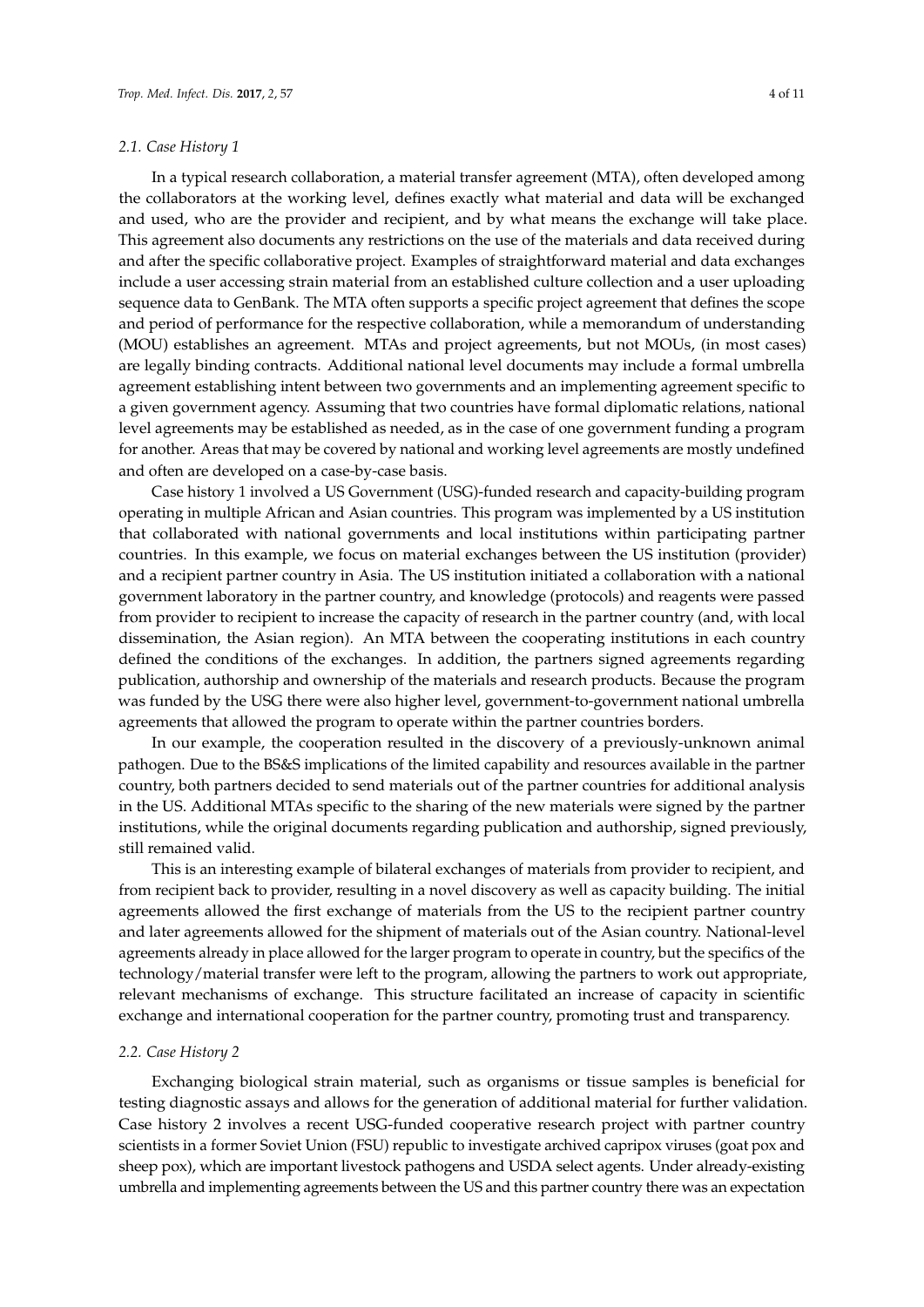#### *2.1. Case History 1*

In a typical research collaboration, a material transfer agreement (MTA), often developed among the collaborators at the working level, defines exactly what material and data will be exchanged and used, who are the provider and recipient, and by what means the exchange will take place. This agreement also documents any restrictions on the use of the materials and data received during and after the specific collaborative project. Examples of straightforward material and data exchanges include a user accessing strain material from an established culture collection and a user uploading sequence data to GenBank. The MTA often supports a specific project agreement that defines the scope and period of performance for the respective collaboration, while a memorandum of understanding (MOU) establishes an agreement. MTAs and project agreements, but not MOUs, (in most cases) are legally binding contracts. Additional national level documents may include a formal umbrella agreement establishing intent between two governments and an implementing agreement specific to a given government agency. Assuming that two countries have formal diplomatic relations, national level agreements may be established as needed, as in the case of one government funding a program for another. Areas that may be covered by national and working level agreements are mostly undefined and often are developed on a case-by-case basis.

Case history 1 involved a US Government (USG)-funded research and capacity-building program operating in multiple African and Asian countries. This program was implemented by a US institution that collaborated with national governments and local institutions within participating partner countries. In this example, we focus on material exchanges between the US institution (provider) and a recipient partner country in Asia. The US institution initiated a collaboration with a national government laboratory in the partner country, and knowledge (protocols) and reagents were passed from provider to recipient to increase the capacity of research in the partner country (and, with local dissemination, the Asian region). An MTA between the cooperating institutions in each country defined the conditions of the exchanges. In addition, the partners signed agreements regarding publication, authorship and ownership of the materials and research products. Because the program was funded by the USG there were also higher level, government-to-government national umbrella agreements that allowed the program to operate within the partner countries borders.

In our example, the cooperation resulted in the discovery of a previously-unknown animal pathogen. Due to the BS&S implications of the limited capability and resources available in the partner country, both partners decided to send materials out of the partner countries for additional analysis in the US. Additional MTAs specific to the sharing of the new materials were signed by the partner institutions, while the original documents regarding publication and authorship, signed previously, still remained valid.

This is an interesting example of bilateral exchanges of materials from provider to recipient, and from recipient back to provider, resulting in a novel discovery as well as capacity building. The initial agreements allowed the first exchange of materials from the US to the recipient partner country and later agreements allowed for the shipment of materials out of the Asian country. National-level agreements already in place allowed for the larger program to operate in country, but the specifics of the technology/material transfer were left to the program, allowing the partners to work out appropriate, relevant mechanisms of exchange. This structure facilitated an increase of capacity in scientific exchange and international cooperation for the partner country, promoting trust and transparency.

#### *2.2. Case History 2*

Exchanging biological strain material, such as organisms or tissue samples is beneficial for testing diagnostic assays and allows for the generation of additional material for further validation. Case history 2 involves a recent USG-funded cooperative research project with partner country scientists in a former Soviet Union (FSU) republic to investigate archived capripox viruses (goat pox and sheep pox), which are important livestock pathogens and USDA select agents. Under already-existing umbrella and implementing agreements between the US and this partner country there was an expectation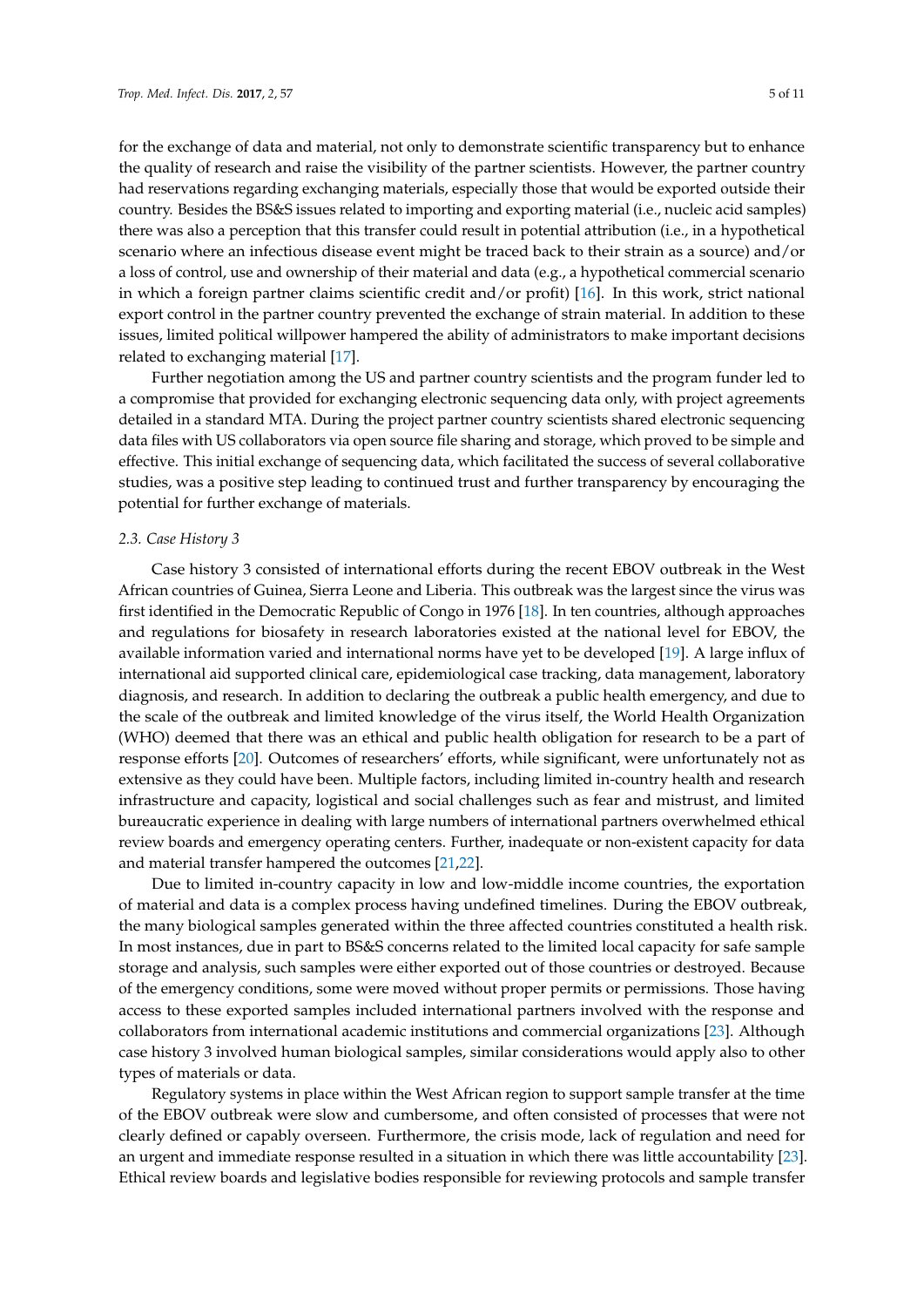for the exchange of data and material, not only to demonstrate scientific transparency but to enhance the quality of research and raise the visibility of the partner scientists. However, the partner country had reservations regarding exchanging materials, especially those that would be exported outside their country. Besides the BS&S issues related to importing and exporting material (i.e., nucleic acid samples) there was also a perception that this transfer could result in potential attribution (i.e., in a hypothetical scenario where an infectious disease event might be traced back to their strain as a source) and/or a loss of control, use and ownership of their material and data (e.g., a hypothetical commercial scenario in which a foreign partner claims scientific credit and/or profit) [\[16\]](#page-9-12). In this work, strict national export control in the partner country prevented the exchange of strain material. In addition to these issues, limited political willpower hampered the ability of administrators to make important decisions related to exchanging material [\[17\]](#page-9-13).

Further negotiation among the US and partner country scientists and the program funder led to a compromise that provided for exchanging electronic sequencing data only, with project agreements detailed in a standard MTA. During the project partner country scientists shared electronic sequencing data files with US collaborators via open source file sharing and storage, which proved to be simple and effective. This initial exchange of sequencing data, which facilitated the success of several collaborative studies, was a positive step leading to continued trust and further transparency by encouraging the potential for further exchange of materials.

#### *2.3. Case History 3*

Case history 3 consisted of international efforts during the recent EBOV outbreak in the West African countries of Guinea, Sierra Leone and Liberia. This outbreak was the largest since the virus was first identified in the Democratic Republic of Congo in 1976 [\[18\]](#page-9-14). In ten countries, although approaches and regulations for biosafety in research laboratories existed at the national level for EBOV, the available information varied and international norms have yet to be developed [\[19\]](#page-9-15). A large influx of international aid supported clinical care, epidemiological case tracking, data management, laboratory diagnosis, and research. In addition to declaring the outbreak a public health emergency, and due to the scale of the outbreak and limited knowledge of the virus itself, the World Health Organization (WHO) deemed that there was an ethical and public health obligation for research to be a part of response efforts [\[20\]](#page-9-16). Outcomes of researchers' efforts, while significant, were unfortunately not as extensive as they could have been. Multiple factors, including limited in-country health and research infrastructure and capacity, logistical and social challenges such as fear and mistrust, and limited bureaucratic experience in dealing with large numbers of international partners overwhelmed ethical review boards and emergency operating centers. Further, inadequate or non-existent capacity for data and material transfer hampered the outcomes [\[21](#page-9-17)[,22\]](#page-9-18).

Due to limited in-country capacity in low and low-middle income countries, the exportation of material and data is a complex process having undefined timelines. During the EBOV outbreak, the many biological samples generated within the three affected countries constituted a health risk. In most instances, due in part to BS&S concerns related to the limited local capacity for safe sample storage and analysis, such samples were either exported out of those countries or destroyed. Because of the emergency conditions, some were moved without proper permits or permissions. Those having access to these exported samples included international partners involved with the response and collaborators from international academic institutions and commercial organizations [\[23\]](#page-9-19). Although case history 3 involved human biological samples, similar considerations would apply also to other types of materials or data.

Regulatory systems in place within the West African region to support sample transfer at the time of the EBOV outbreak were slow and cumbersome, and often consisted of processes that were not clearly defined or capably overseen. Furthermore, the crisis mode, lack of regulation and need for an urgent and immediate response resulted in a situation in which there was little accountability [\[23\]](#page-9-19). Ethical review boards and legislative bodies responsible for reviewing protocols and sample transfer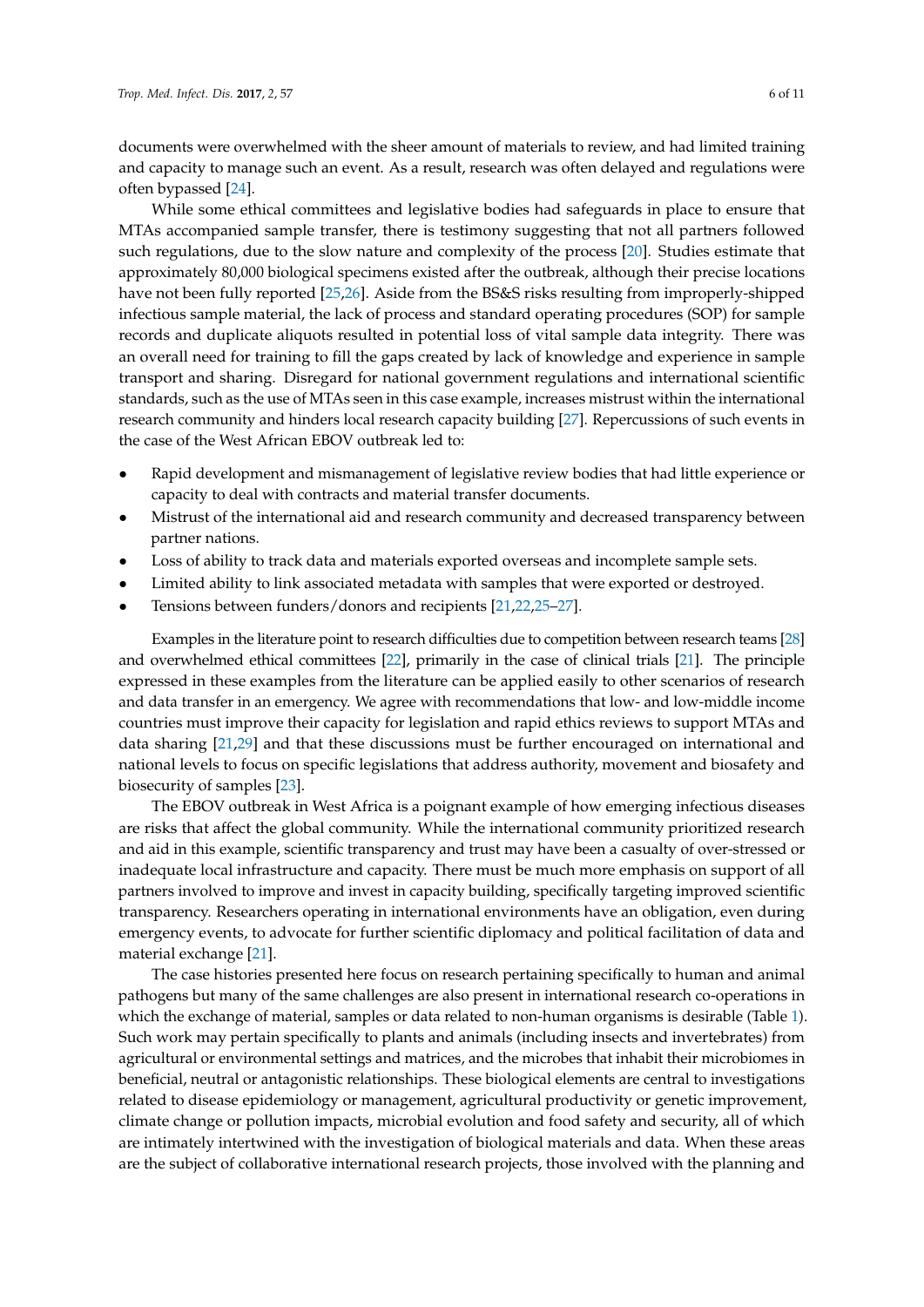documents were overwhelmed with the sheer amount of materials to review, and had limited training and capacity to manage such an event. As a result, research was often delayed and regulations were often bypassed [\[24\]](#page-10-0).

While some ethical committees and legislative bodies had safeguards in place to ensure that MTAs accompanied sample transfer, there is testimony suggesting that not all partners followed such regulations, due to the slow nature and complexity of the process [\[20\]](#page-9-16). Studies estimate that approximately 80,000 biological specimens existed after the outbreak, although their precise locations have not been fully reported [\[25,](#page-10-1)[26\]](#page-10-2). Aside from the BS&S risks resulting from improperly-shipped infectious sample material, the lack of process and standard operating procedures (SOP) for sample records and duplicate aliquots resulted in potential loss of vital sample data integrity. There was an overall need for training to fill the gaps created by lack of knowledge and experience in sample transport and sharing. Disregard for national government regulations and international scientific standards, such as the use of MTAs seen in this case example, increases mistrust within the international research community and hinders local research capacity building [\[27\]](#page-10-3). Repercussions of such events in the case of the West African EBOV outbreak led to:

- Rapid development and mismanagement of legislative review bodies that had little experience or capacity to deal with contracts and material transfer documents.
- Mistrust of the international aid and research community and decreased transparency between partner nations.
- Loss of ability to track data and materials exported overseas and incomplete sample sets.
- Limited ability to link associated metadata with samples that were exported or destroyed.
- Tensions between funders/donors and recipients [\[21,](#page-9-17)[22,](#page-9-18)[25](#page-10-1)[–27\]](#page-10-3).

Examples in the literature point to research difficulties due to competition between research teams [\[28\]](#page-10-4) and overwhelmed ethical committees [\[22\]](#page-9-18), primarily in the case of clinical trials [\[21\]](#page-9-17). The principle expressed in these examples from the literature can be applied easily to other scenarios of research and data transfer in an emergency. We agree with recommendations that low- and low-middle income countries must improve their capacity for legislation and rapid ethics reviews to support MTAs and data sharing [\[21](#page-9-17)[,29\]](#page-10-5) and that these discussions must be further encouraged on international and national levels to focus on specific legislations that address authority, movement and biosafety and biosecurity of samples [\[23\]](#page-9-19).

The EBOV outbreak in West Africa is a poignant example of how emerging infectious diseases are risks that affect the global community. While the international community prioritized research and aid in this example, scientific transparency and trust may have been a casualty of over-stressed or inadequate local infrastructure and capacity. There must be much more emphasis on support of all partners involved to improve and invest in capacity building, specifically targeting improved scientific transparency. Researchers operating in international environments have an obligation, even during emergency events, to advocate for further scientific diplomacy and political facilitation of data and material exchange [\[21\]](#page-9-17).

The case histories presented here focus on research pertaining specifically to human and animal pathogens but many of the same challenges are also present in international research co-operations in which the exchange of material, samples or data related to non-human organisms is desirable (Table [1\)](#page-6-0). Such work may pertain specifically to plants and animals (including insects and invertebrates) from agricultural or environmental settings and matrices, and the microbes that inhabit their microbiomes in beneficial, neutral or antagonistic relationships. These biological elements are central to investigations related to disease epidemiology or management, agricultural productivity or genetic improvement, climate change or pollution impacts, microbial evolution and food safety and security, all of which are intimately intertwined with the investigation of biological materials and data. When these areas are the subject of collaborative international research projects, those involved with the planning and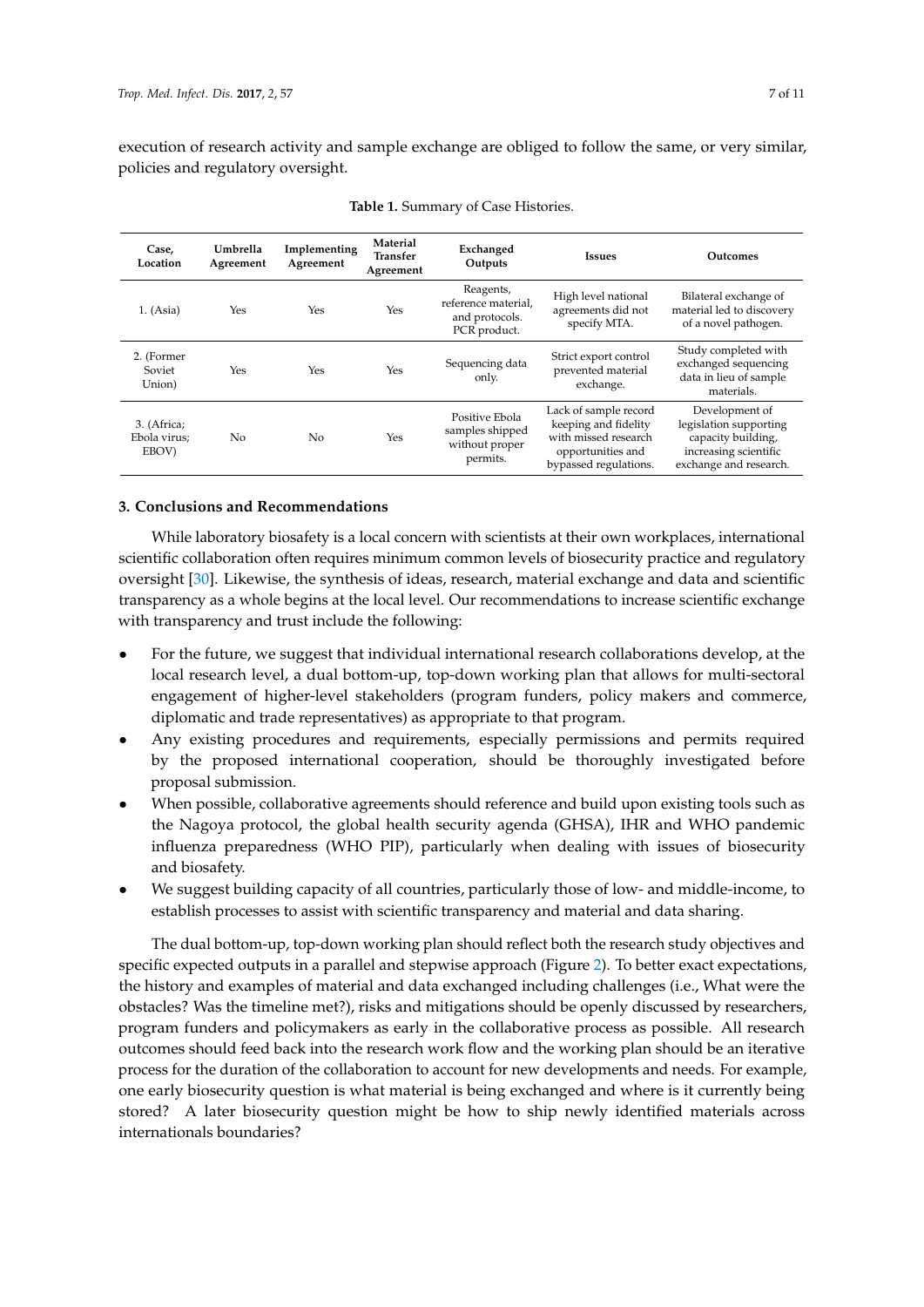<span id="page-6-0"></span>execution of research activity and sample exchange are obliged to follow the same, or very similar, policies and regulatory oversight.

| Case.<br>Location                    | Umbrella<br>Agreement | Implementing<br>Agreement | Material<br>Transfer<br>Agreement | Exchanged<br>Outputs                                               | <b>Issues</b>                                                                                                       | Outcomes                                                                                                          |
|--------------------------------------|-----------------------|---------------------------|-----------------------------------|--------------------------------------------------------------------|---------------------------------------------------------------------------------------------------------------------|-------------------------------------------------------------------------------------------------------------------|
| 1. (Asia)                            | Yes                   | Yes                       | Yes                               | Reagents,<br>reference material.<br>and protocols.<br>PCR product. | High level national<br>agreements did not<br>specify MTA.                                                           | Bilateral exchange of<br>material led to discovery<br>of a novel pathogen.                                        |
| 2. (Former<br>Soviet<br>Union)       | Yes                   | Yes                       | Yes                               | Sequencing data<br>only.                                           | Strict export control<br>prevented material<br>exchange.                                                            | Study completed with<br>exchanged sequencing<br>data in lieu of sample<br>materials.                              |
| 3. (Africa;<br>Ebola virus;<br>EBOV) | No                    | N <sub>0</sub>            | Yes                               | Positive Ebola<br>samples shipped<br>without proper<br>permits.    | Lack of sample record<br>keeping and fidelity<br>with missed research<br>opportunities and<br>bypassed regulations. | Development of<br>legislation supporting<br>capacity building,<br>increasing scientific<br>exchange and research. |

| Table 1. Summary of Case Histories. |  |
|-------------------------------------|--|
|-------------------------------------|--|

#### **3. Conclusions and Recommendations**

While laboratory biosafety is a local concern with scientists at their own workplaces, international scientific collaboration often requires minimum common levels of biosecurity practice and regulatory oversight [\[30\]](#page-10-6). Likewise, the synthesis of ideas, research, material exchange and data and scientific transparency as a whole begins at the local level. Our recommendations to increase scientific exchange with transparency and trust include the following:

- For the future, we suggest that individual international research collaborations develop, at the local research level, a dual bottom-up, top-down working plan that allows for multi-sectoral engagement of higher-level stakeholders (program funders, policy makers and commerce, diplomatic and trade representatives) as appropriate to that program.
- Any existing procedures and requirements, especially permissions and permits required by the proposed international cooperation, should be thoroughly investigated before proposal submission.
- When possible, collaborative agreements should reference and build upon existing tools such as the Nagoya protocol, the global health security agenda (GHSA), IHR and WHO pandemic influenza preparedness (WHO PIP), particularly when dealing with issues of biosecurity and biosafety.
- We suggest building capacity of all countries, particularly those of low- and middle-income, to establish processes to assist with scientific transparency and material and data sharing.

The dual bottom-up, top-down working plan should reflect both the research study objectives and specific expected outputs in a parallel and stepwise approach (Figure [2\)](#page-7-0). To better exact expectations, the history and examples of material and data exchanged including challenges (i.e., What were the obstacles? Was the timeline met?), risks and mitigations should be openly discussed by researchers, program funders and policymakers as early in the collaborative process as possible. All research outcomes should feed back into the research work flow and the working plan should be an iterative process for the duration of the collaboration to account for new developments and needs. For example, one early biosecurity question is what material is being exchanged and where is it currently being stored? A later biosecurity question might be how to ship newly identified materials across internationals boundaries?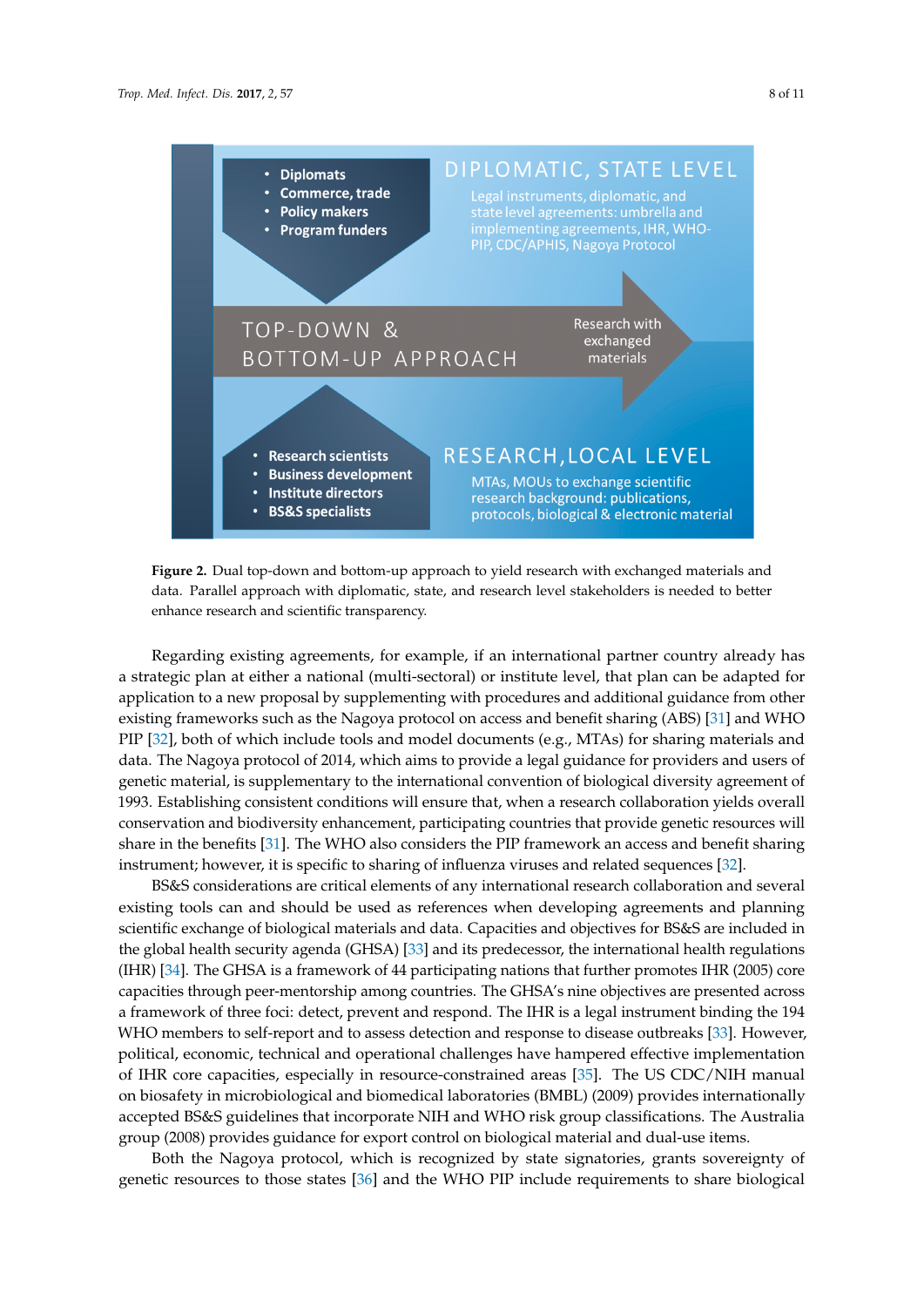<span id="page-7-0"></span>

**Figure 2.** Dual top-down and bottom-up approach to yield research with exchanged materials and **Figure 2.** Dual top-down and bottom-up approach to yield research with exchanged materials and data. Parallel approach with diplomatic, state, and research level stakeholders is needed to better data. Parallel approach with diplomatic, state, and research level stakeholders is needed to better enhance research and scientific transparency. enhance research and scientific transparency.

Regarding existing agreements, for example, if an international partner country already has strategic plan at either a national (multi-sectoral) or institute level, that plan can be adapted for a strategic plan at either a national (multi-sectoral) or institute level, that plan can be adapted for but give plan at early a national thank become of motified rever, and plan can be adapted to application to a new proposal by supplementing with procedures and additional guidance from other  $\dot{M}$ existing frameworks such as the Nagoya protocol on access and benefit sharing (ABS) [\[31\]](#page-10-7) and WHO<br>EXIS [31] and WHO PIP [\[32\]](#page-10-8), both of which include tools and model documents (e.g., MTAs) for sharing materials and users and users and users and users and users and users and users and users and users and users and users and users and users of genetic material, is supplementary to the international convention of biological diversity genetic material, is supplementary to the international convention of biological diversity agreement of agreement of 1993. Establishing constructions will ensure the condition of protogram and research collaboration 1993. Establishing consistent conditions will ensure that, when a research collaboration yields overall intervention of the provide state intervention of the conditions will ensure that the conditions will be consistent wi generical share in the benefit share in the benefits consider the provider generic resources will share in the benefits [\[31\]](#page-10-7). The WHO also considers the PIP framework an access and benefit sharing  $\frac{1}{2}$ instrument; however, it is specific to sharing of influenza viruses and related sequences [\[32\]](#page-10-8). data. The Nagoya protocol of 2014, which aims to provide a legal guidance for providers and users of conservation and biodiversity enhancement, participating countries that provide genetic resources will

BS&S considerations are critical elements of any international research collaboration and several existing tools can and should be used as references when developing agreements and planning  $\frac{1}{2}$ scientific exchange of biological materials and data. Capacities and objectives for BS&S are included the global health security agenda (GHSA) [\[33\]](#page-10-9) and its predecessor, the international health regulations  $(TIR)$   $GSE$  $\frac{1}{2}$  is a framework of  $44$  participating nations that further promotes  $\frac{1}{2}$  is  $\frac{1}{2}$  in  $\frac{1}{2}$ capacities through peer-mentorship among countries. The GHSA's nine objectives are presented across<br>capacities through peer-mentorship among countries. The GHSA's nine objectives are presented across are presented across a framework of three foci: detect, prevent and respond. The IHR is a legal modelling the IM WHO members to self-report and to assess detection and response to disease outbreaks [\[33\]](#page-10-9). However, political, economic, technical and operational challenges have nampered enective imprementation<br>of IHR core capacities, especially in resource-constrained areas [\[35\]](#page-10-11). The US CDC/NIH manual or first core capacities, especially in resource-constrainted areas [55]. The Co-CDC/TVITT manual  $\frac{1}{3}$  . The US CONING CONING CONTINUOUS CONFIDER (BMBL) (2007) provides microbiology accepted BS&S guidelines that incorporate NIH and WHO risk group classifications. The Australia<br>
2009 group (2008) provides guidance for export control on biological material and dual-use items.<br>References BS&S considerations are critical elements of any international research collaboration and several scientific exchange of biological materials and data. Capacities and objectives for BS&S are included in (IHR) [\[34\]](#page-10-10). The GHSA is a framework of 44 participating nations that further promotes IHR (2005) core a framework of three foci: detect, prevent and respond. The IHR is a legal instrument binding the 194 political, economic, technical and operational challenges have hampered effective implementation

Both the Nagoya protocol, which is recognized by state signatories, grants sovereignty of genetic resources to those states [\[36\]](#page-10-12) and the WHO PIP include requirements to share biological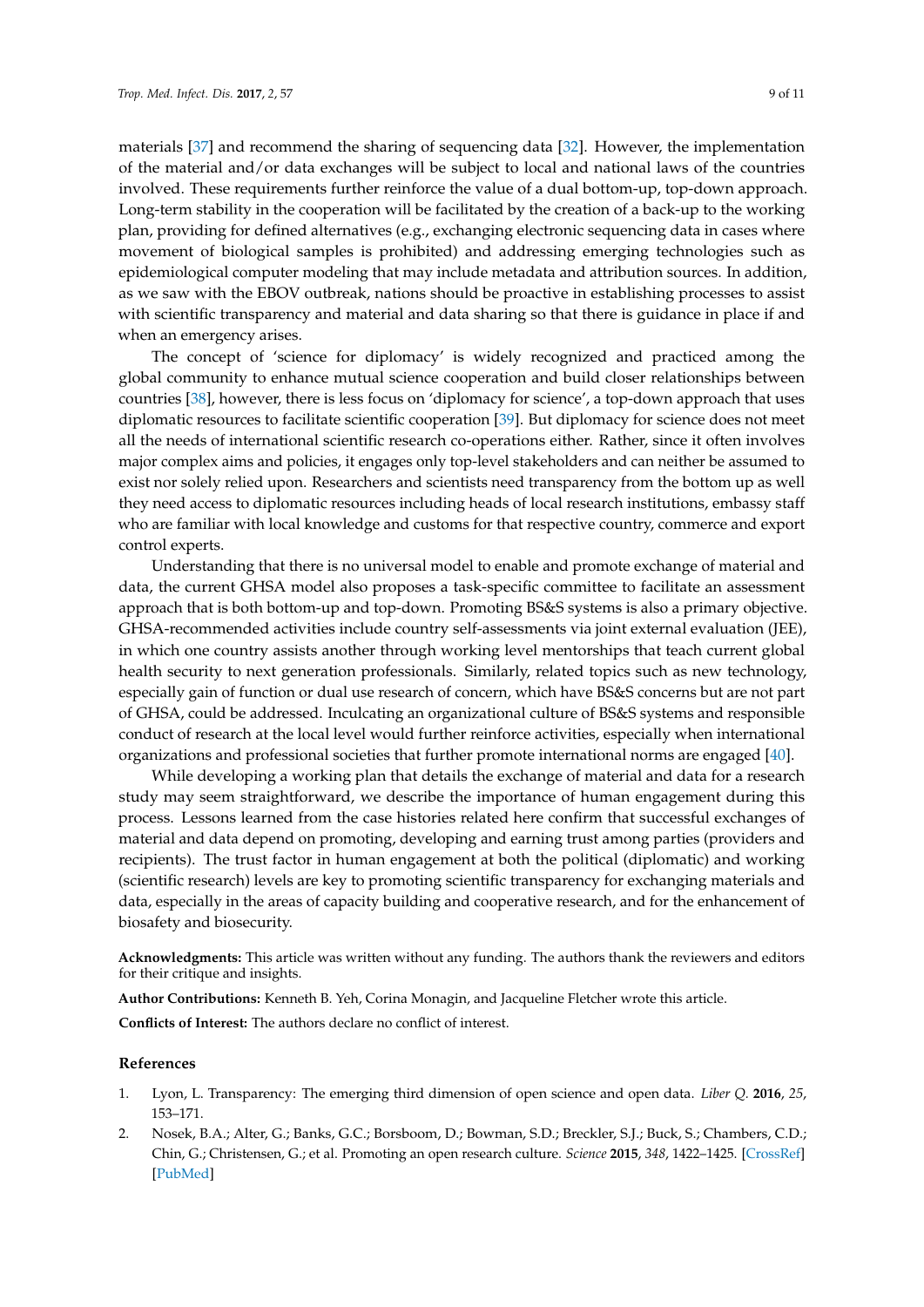materials [\[37\]](#page-10-13) and recommend the sharing of sequencing data [\[32\]](#page-10-8). However, the implementation of the material and/or data exchanges will be subject to local and national laws of the countries involved. These requirements further reinforce the value of a dual bottom-up, top-down approach. Long-term stability in the cooperation will be facilitated by the creation of a back-up to the working plan, providing for defined alternatives (e.g., exchanging electronic sequencing data in cases where movement of biological samples is prohibited) and addressing emerging technologies such as epidemiological computer modeling that may include metadata and attribution sources. In addition, as we saw with the EBOV outbreak, nations should be proactive in establishing processes to assist with scientific transparency and material and data sharing so that there is guidance in place if and when an emergency arises.

The concept of 'science for diplomacy' is widely recognized and practiced among the global community to enhance mutual science cooperation and build closer relationships between countries [\[38\]](#page-10-14), however, there is less focus on 'diplomacy for science', a top-down approach that uses diplomatic resources to facilitate scientific cooperation [\[39\]](#page-10-15). But diplomacy for science does not meet all the needs of international scientific research co-operations either. Rather, since it often involves major complex aims and policies, it engages only top-level stakeholders and can neither be assumed to exist nor solely relied upon. Researchers and scientists need transparency from the bottom up as well they need access to diplomatic resources including heads of local research institutions, embassy staff who are familiar with local knowledge and customs for that respective country, commerce and export control experts.

Understanding that there is no universal model to enable and promote exchange of material and data, the current GHSA model also proposes a task-specific committee to facilitate an assessment approach that is both bottom-up and top-down. Promoting BS&S systems is also a primary objective. GHSA-recommended activities include country self-assessments via joint external evaluation (JEE), in which one country assists another through working level mentorships that teach current global health security to next generation professionals. Similarly, related topics such as new technology, especially gain of function or dual use research of concern, which have BS&S concerns but are not part of GHSA, could be addressed. Inculcating an organizational culture of BS&S systems and responsible conduct of research at the local level would further reinforce activities, especially when international organizations and professional societies that further promote international norms are engaged [\[40\]](#page-10-16).

While developing a working plan that details the exchange of material and data for a research study may seem straightforward, we describe the importance of human engagement during this process. Lessons learned from the case histories related here confirm that successful exchanges of material and data depend on promoting, developing and earning trust among parties (providers and recipients). The trust factor in human engagement at both the political (diplomatic) and working (scientific research) levels are key to promoting scientific transparency for exchanging materials and data, especially in the areas of capacity building and cooperative research, and for the enhancement of biosafety and biosecurity.

**Acknowledgments:** This article was written without any funding. The authors thank the reviewers and editors for their critique and insights.

**Author Contributions:** Kenneth B. Yeh, Corina Monagin, and Jacqueline Fletcher wrote this article.

**Conflicts of Interest:** The authors declare no conflict of interest.

#### **References**

- <span id="page-8-0"></span>1. Lyon, L. Transparency: The emerging third dimension of open science and open data. *Liber Q.* **2016**, *25*, 153–171.
- <span id="page-8-1"></span>2. Nosek, B.A.; Alter, G.; Banks, G.C.; Borsboom, D.; Bowman, S.D.; Breckler, S.J.; Buck, S.; Chambers, C.D.; Chin, G.; Christensen, G.; et al. Promoting an open research culture. *Science* **2015**, *348*, 1422–1425. [\[CrossRef\]](http://dx.doi.org/10.1126/science.aab2374) [\[PubMed\]](http://www.ncbi.nlm.nih.gov/pubmed/26113702)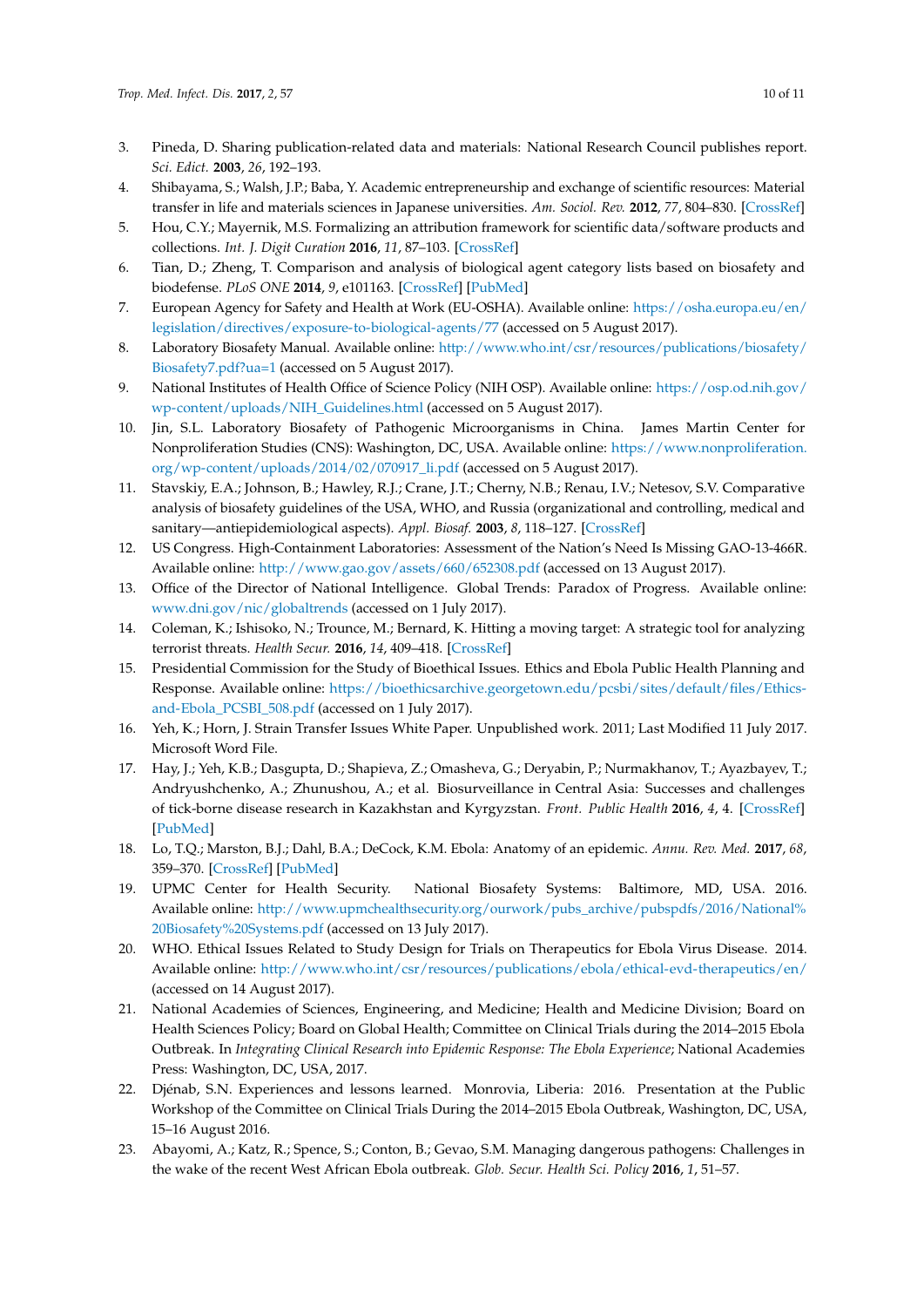- 3. Pineda, D. Sharing publication-related data and materials: National Research Council publishes report. *Sci. Edict.* **2003**, *26*, 192–193.
- <span id="page-9-0"></span>4. Shibayama, S.; Walsh, J.P.; Baba, Y. Academic entrepreneurship and exchange of scientific resources: Material transfer in life and materials sciences in Japanese universities. *Am. Sociol. Rev.* **2012**, *77*, 804–830. [\[CrossRef\]](http://dx.doi.org/10.1177/0003122412452874)
- <span id="page-9-1"></span>5. Hou, C.Y.; Mayernik, M.S. Formalizing an attribution framework for scientific data/software products and collections. *Int. J. Digit Curation* **2016**, *11*, 87–103. [\[CrossRef\]](http://dx.doi.org/10.2218/ijdc.v11i2.404)
- <span id="page-9-2"></span>6. Tian, D.; Zheng, T. Comparison and analysis of biological agent category lists based on biosafety and biodefense. *PLoS ONE* **2014**, *9*, e101163. [\[CrossRef\]](http://dx.doi.org/10.1371/journal.pone.0101163) [\[PubMed\]](http://www.ncbi.nlm.nih.gov/pubmed/24979754)
- <span id="page-9-3"></span>7. European Agency for Safety and Health at Work (EU-OSHA). Available online: [https://osha.europa.eu/en/](https://osha.europa.eu/en/legislation/directives/exposure-to-biological-agents/77) [legislation/directives/exposure-to-biological-agents/77](https://osha.europa.eu/en/legislation/directives/exposure-to-biological-agents/77) (accessed on 5 August 2017).
- <span id="page-9-4"></span>8. Laboratory Biosafety Manual. Available online: [http://www.who.int/csr/resources/publications/biosafety/](http://www.who.int/csr/resources/publications/biosafety/Biosafety7.pdf?ua=1) [Biosafety7.pdf?ua=1](http://www.who.int/csr/resources/publications/biosafety/Biosafety7.pdf?ua=1) (accessed on 5 August 2017).
- <span id="page-9-5"></span>9. National Institutes of Health Office of Science Policy (NIH OSP). Available online: [https://osp.od.nih.gov/](https://osp.od.nih.gov/wp-content/uploads/NIH_Guidelines.html) [wp-content/uploads/NIH\\_Guidelines.html](https://osp.od.nih.gov/wp-content/uploads/NIH_Guidelines.html) (accessed on 5 August 2017).
- <span id="page-9-6"></span>10. Jin, S.L. Laboratory Biosafety of Pathogenic Microorganisms in China. James Martin Center for Nonproliferation Studies (CNS): Washington, DC, USA. Available online: [https://www.nonproliferation.](https://www.nonproliferation.org/wp-content/uploads/2014/02/070917_li.pdf) [org/wp-content/uploads/2014/02/070917\\_li.pdf](https://www.nonproliferation.org/wp-content/uploads/2014/02/070917_li.pdf) (accessed on 5 August 2017).
- <span id="page-9-7"></span>11. Stavskiy, E.A.; Johnson, B.; Hawley, R.J.; Crane, J.T.; Cherny, N.B.; Renau, I.V.; Netesov, S.V. Comparative analysis of biosafety guidelines of the USA, WHO, and Russia (organizational and controlling, medical and sanitary—antiepidemiological aspects). *Appl. Biosaf.* **2003**, *8*, 118–127. [\[CrossRef\]](http://dx.doi.org/10.1177/153567600300800305)
- <span id="page-9-8"></span>12. US Congress. High-Containment Laboratories: Assessment of the Nation's Need Is Missing GAO-13-466R. Available online: <http://www.gao.gov/assets/660/652308.pdf> (accessed on 13 August 2017).
- <span id="page-9-9"></span>13. Office of the Director of National Intelligence. Global Trends: Paradox of Progress. Available online: <www.dni.gov/nic/globaltrends> (accessed on 1 July 2017).
- <span id="page-9-10"></span>14. Coleman, K.; Ishisoko, N.; Trounce, M.; Bernard, K. Hitting a moving target: A strategic tool for analyzing terrorist threats. *Health Secur.* **2016**, *14*, 409–418. [\[CrossRef\]](http://dx.doi.org/10.1089/hs.2016.0062)
- <span id="page-9-11"></span>15. Presidential Commission for the Study of Bioethical Issues. Ethics and Ebola Public Health Planning and Response. Available online: [https://bioethicsarchive.georgetown.edu/pcsbi/sites/default/files/Ethics](https://bioethicsarchive.georgetown.edu/pcsbi/sites/default/files/Ethics-and-Ebola_PCSBI_508.pdf)[and-Ebola\\_PCSBI\\_508.pdf](https://bioethicsarchive.georgetown.edu/pcsbi/sites/default/files/Ethics-and-Ebola_PCSBI_508.pdf) (accessed on 1 July 2017).
- <span id="page-9-12"></span>16. Yeh, K.; Horn, J. Strain Transfer Issues White Paper. Unpublished work. 2011; Last Modified 11 July 2017. Microsoft Word File.
- <span id="page-9-13"></span>17. Hay, J.; Yeh, K.B.; Dasgupta, D.; Shapieva, Z.; Omasheva, G.; Deryabin, P.; Nurmakhanov, T.; Ayazbayev, T.; Andryushchenko, A.; Zhunushou, A.; et al. Biosurveillance in Central Asia: Successes and challenges of tick-borne disease research in Kazakhstan and Kyrgyzstan. *Front. Public Health* **2016**, *4*, 4. [\[CrossRef\]](http://dx.doi.org/10.3389/fpubh.2016.00004) [\[PubMed\]](http://www.ncbi.nlm.nih.gov/pubmed/26870722)
- <span id="page-9-14"></span>18. Lo, T.Q.; Marston, B.J.; Dahl, B.A.; DeCock, K.M. Ebola: Anatomy of an epidemic. *Annu. Rev. Med.* **2017**, *68*, 359–370. [\[CrossRef\]](http://dx.doi.org/10.1146/annurev-med-052915-015604) [\[PubMed\]](http://www.ncbi.nlm.nih.gov/pubmed/27813879)
- <span id="page-9-15"></span>19. UPMC Center for Health Security. National Biosafety Systems: Baltimore, MD, USA. 2016. Available online: [http://www.upmchealthsecurity.org/ourwork/pubs\\_archive/pubspdfs/2016/National%](http://www.upmchealthsecurity.org/ourwork/pubs_archive/pubspdfs/2016/National%20Biosafety%20Systems.pdf) [20Biosafety%20Systems.pdf](http://www.upmchealthsecurity.org/ourwork/pubs_archive/pubspdfs/2016/National%20Biosafety%20Systems.pdf) (accessed on 13 July 2017).
- <span id="page-9-16"></span>20. WHO. Ethical Issues Related to Study Design for Trials on Therapeutics for Ebola Virus Disease. 2014. Available online: <http://www.who.int/csr/resources/publications/ebola/ethical-evd-therapeutics/en/> (accessed on 14 August 2017).
- <span id="page-9-17"></span>21. National Academies of Sciences, Engineering, and Medicine; Health and Medicine Division; Board on Health Sciences Policy; Board on Global Health; Committee on Clinical Trials during the 2014–2015 Ebola Outbreak. In *Integrating Clinical Research into Epidemic Response: The Ebola Experience*; National Academies Press: Washington, DC, USA, 2017.
- <span id="page-9-18"></span>22. Djénab, S.N. Experiences and lessons learned. Monrovia, Liberia: 2016. Presentation at the Public Workshop of the Committee on Clinical Trials During the 2014–2015 Ebola Outbreak, Washington, DC, USA, 15–16 August 2016.
- <span id="page-9-19"></span>23. Abayomi, A.; Katz, R.; Spence, S.; Conton, B.; Gevao, S.M. Managing dangerous pathogens: Challenges in the wake of the recent West African Ebola outbreak. *Glob. Secur. Health Sci. Policy* **2016**, *1*, 51–57.